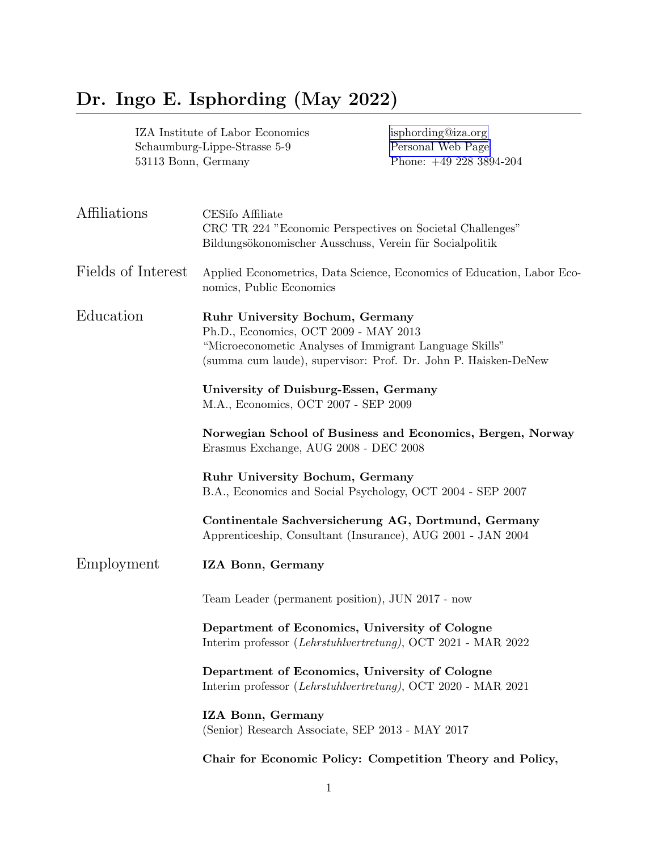# Dr. Ingo E. Isphording (May 2022)

| IZA Institute of Labor Economics<br>Schaumburg-Lippe-Strasse 5-9<br>53113 Bonn, Germany |                                                                                                     | isphording@iza.org<br>Personal Web Page<br>Phone: $+49\ 228\ 3894\text{-}204$                                             |  |
|-----------------------------------------------------------------------------------------|-----------------------------------------------------------------------------------------------------|---------------------------------------------------------------------------------------------------------------------------|--|
| Affiliations                                                                            | CESifo Affiliate<br>Bildungsökonomischer Ausschuss, Verein für Socialpolitik                        | CRC TR 224 "Economic Perspectives on Societal Challenges"                                                                 |  |
| Fields of Interest                                                                      | nomics, Public Economics                                                                            | Applied Econometrics, Data Science, Economics of Education, Labor Eco-                                                    |  |
| Education                                                                               | <b>Ruhr University Bochum, Germany</b><br>Ph.D., Economics, OCT 2009 - MAY 2013                     | "Microeconometic Analyses of Immigrant Language Skills"<br>(summa cum laude), supervisor: Prof. Dr. John P. Haisken-DeNew |  |
|                                                                                         | University of Duisburg-Essen, Germany<br>M.A., Economics, OCT 2007 - SEP 2009                       |                                                                                                                           |  |
|                                                                                         | Norwegian School of Business and Economics, Bergen, Norway<br>Erasmus Exchange, AUG 2008 - DEC 2008 |                                                                                                                           |  |
|                                                                                         | <b>Ruhr University Bochum, Germany</b>                                                              | B.A., Economics and Social Psychology, OCT 2004 - SEP 2007                                                                |  |
|                                                                                         |                                                                                                     | Continentale Sachversicherung AG, Dortmund, Germany<br>Apprenticeship, Consultant (Insurance), AUG 2001 - JAN 2004        |  |
| Employment                                                                              | IZA Bonn, Germany                                                                                   |                                                                                                                           |  |
|                                                                                         | Team Leader (permanent position), JUN 2017 - now                                                    |                                                                                                                           |  |
|                                                                                         | Department of Economics, University of Cologne                                                      | Interim professor (Lehrstuhlvertretung), OCT 2021 - MAR 2022                                                              |  |
|                                                                                         | Department of Economics, University of Cologne                                                      | Interim professor (Lehrstuhlvertretung), OCT 2020 - MAR 2021                                                              |  |
|                                                                                         | IZA Bonn, Germany<br>(Senior) Research Associate, SEP 2013 - MAY 2017                               |                                                                                                                           |  |
|                                                                                         |                                                                                                     | Chair for Economic Policy: Competition Theory and Policy,                                                                 |  |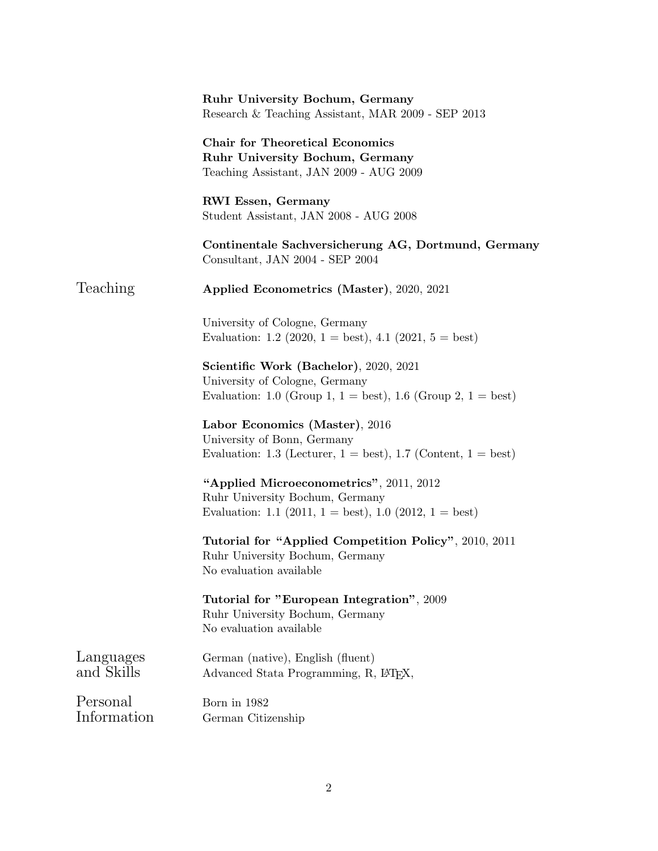|                         | <b>Ruhr University Bochum, Germany</b><br>Research & Teaching Assistant, MAR 2009 - SEP 2013                                                                 |
|-------------------------|--------------------------------------------------------------------------------------------------------------------------------------------------------------|
|                         | <b>Chair for Theoretical Economics</b><br><b>Ruhr University Bochum, Germany</b><br>Teaching Assistant, JAN 2009 - AUG 2009                                  |
|                         | <b>RWI Essen, Germany</b><br>Student Assistant, JAN 2008 - AUG 2008                                                                                          |
|                         | Continentale Sachversicherung AG, Dortmund, Germany<br>Consultant, JAN 2004 - SEP 2004                                                                       |
| Teaching                | Applied Econometrics (Master), 2020, 2021                                                                                                                    |
|                         | University of Cologne, Germany<br>Evaluation: 1.2 (2020, 1 = best), 4.1 (2021, 5 = best)                                                                     |
|                         | Scientific Work (Bachelor), 2020, 2021<br>University of Cologne, Germany<br>Evaluation: 1.0 (Group 1, $1 = \text{best}$ ), 1.6 (Group 2, $1 = \text{best}$ ) |
|                         | Labor Economics (Master), 2016<br>University of Bonn, Germany<br>Evaluation: 1.3 (Lecturer, $1 = best$ ), 1.7 (Content, $1 = best$ )                         |
|                         | "Applied Microeconometrics", 2011, 2012<br>Ruhr University Bochum, Germany<br>Evaluation: 1.1 (2011, 1 = best), 1.0 (2012, 1 = best)                         |
|                         | Tutorial for "Applied Competition Policy", 2010, 2011<br>Ruhr University Bochum, Germany<br>No evaluation available                                          |
|                         | Tutorial for "European Integration", 2009<br>Ruhr University Bochum, Germany<br>No evaluation available                                                      |
| Languages<br>and Skills | German (native), English (fluent)<br>Advanced Stata Programming, R, L <sup>T</sup> FX,                                                                       |
| Personal<br>Information | Born in 1982<br>German Citizenship                                                                                                                           |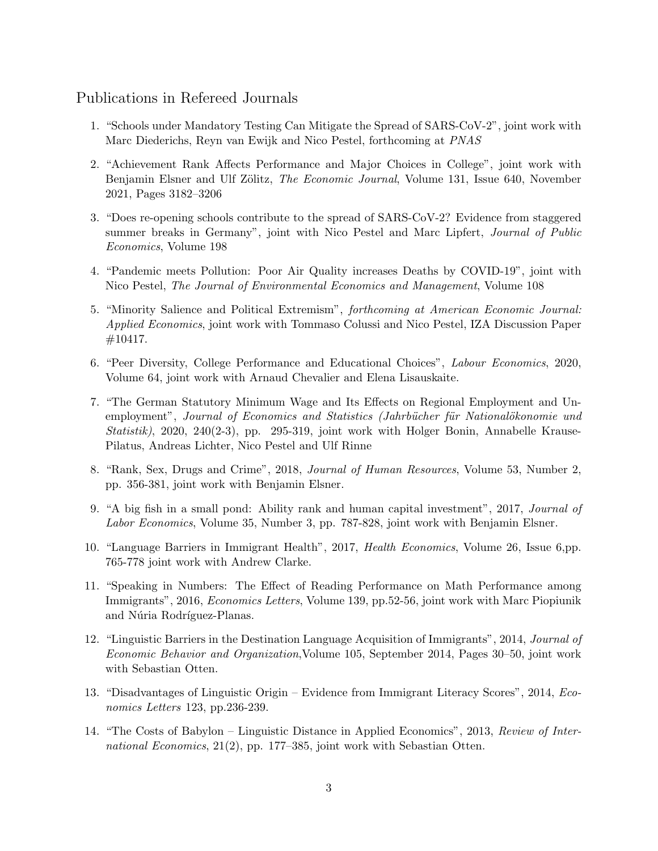## Publications in Refereed Journals

- 1. "Schools under Mandatory Testing Can Mitigate the Spread of SARS-CoV-2", joint work with Marc Diederichs, Reyn van Ewijk and Nico Pestel, forthcoming at PNAS
- 2. "Achievement Rank Affects Performance and Major Choices in College", joint work with Benjamin Elsner and Ulf Zölitz, The Economic Journal, Volume 131, Issue 640, November 2021, Pages 3182–3206
- 3. "Does re-opening schools contribute to the spread of SARS-CoV-2? Evidence from staggered summer breaks in Germany", joint with Nico Pestel and Marc Lipfert, *Journal of Public* Economics, Volume 198
- 4. "Pandemic meets Pollution: Poor Air Quality increases Deaths by COVID-19", joint with Nico Pestel, The Journal of Environmental Economics and Management, Volume 108
- 5. "Minority Salience and Political Extremism", forthcoming at American Economic Journal: Applied Economics, joint work with Tommaso Colussi and Nico Pestel, IZA Discussion Paper #10417.
- 6. "Peer Diversity, College Performance and Educational Choices", Labour Economics, 2020, Volume 64, joint work with Arnaud Chevalier and Elena Lisauskaite.
- 7. "The German Statutory Minimum Wage and Its Effects on Regional Employment and Unemployment", Journal of Economics and Statistics (Jahrbücher für Nationalökonomie und Statistik), 2020, 240(2-3), pp. 295-319, joint work with Holger Bonin, Annabelle Krause-Pilatus, Andreas Lichter, Nico Pestel and Ulf Rinne
- 8. "Rank, Sex, Drugs and Crime", 2018, Journal of Human Resources, Volume 53, Number 2, pp. 356-381, joint work with Benjamin Elsner.
- 9. "A big fish in a small pond: Ability rank and human capital investment", 2017, Journal of Labor Economics, Volume 35, Number 3, pp. 787-828, joint work with Benjamin Elsner.
- 10. "Language Barriers in Immigrant Health", 2017, Health Economics, Volume 26, Issue 6,pp. 765-778 joint work with Andrew Clarke.
- 11. "Speaking in Numbers: The Effect of Reading Performance on Math Performance among Immigrants", 2016, Economics Letters, Volume 139, pp.52-56, joint work with Marc Piopiunik and Núria Rodríguez-Planas.
- 12. "Linguistic Barriers in the Destination Language Acquisition of Immigrants", 2014, Journal of Economic Behavior and Organization,Volume 105, September 2014, Pages 30–50, joint work with Sebastian Otten.
- 13. "Disadvantages of Linguistic Origin Evidence from Immigrant Literacy Scores", 2014, Economics Letters 123, pp.236-239.
- 14. "The Costs of Babylon Linguistic Distance in Applied Economics", 2013, Review of International Economics,  $21(2)$ , pp. 177–385, joint work with Sebastian Otten.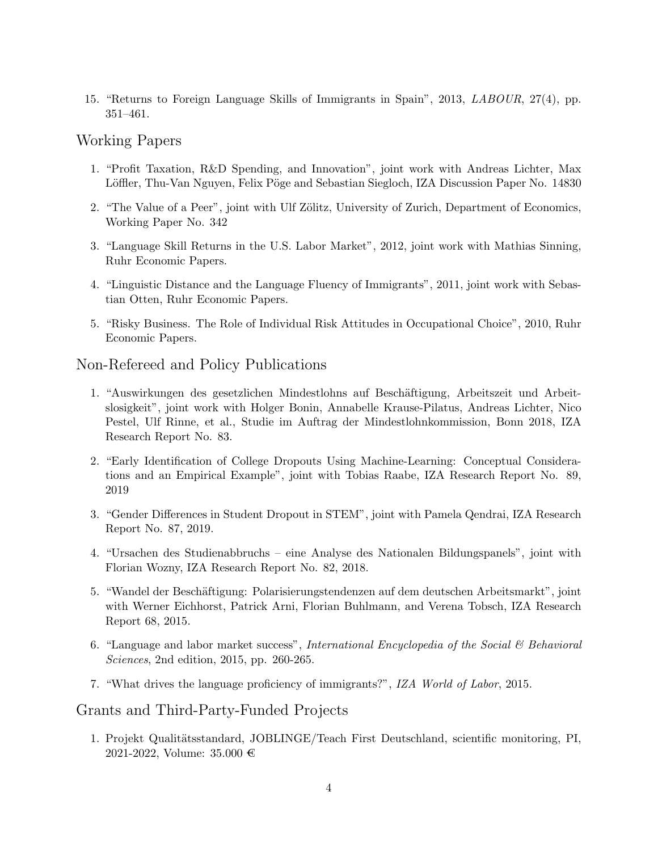15. "Returns to Foreign Language Skills of Immigrants in Spain", 2013, LABOUR, 27(4), pp. 351–461.

#### Working Papers

- 1. "Profit Taxation, R&D Spending, and Innovation", joint work with Andreas Lichter, Max Löffler, Thu-Van Nguyen, Felix Pöge and Sebastian Siegloch, IZA Discussion Paper No. 14830
- 2. "The Value of a Peer", joint with Ulf Zölitz, University of Zurich, Department of Economics, Working Paper No. 342
- 3. "Language Skill Returns in the U.S. Labor Market", 2012, joint work with Mathias Sinning, Ruhr Economic Papers.
- 4. "Linguistic Distance and the Language Fluency of Immigrants", 2011, joint work with Sebastian Otten, Ruhr Economic Papers.
- 5. "Risky Business. The Role of Individual Risk Attitudes in Occupational Choice", 2010, Ruhr Economic Papers.

### Non-Refereed and Policy Publications

- 1. "Auswirkungen des gesetzlichen Mindestlohns auf Beschäftigung, Arbeitszeit und Arbeitslosigkeit", joint work with Holger Bonin, Annabelle Krause-Pilatus, Andreas Lichter, Nico Pestel, Ulf Rinne, et al., Studie im Auftrag der Mindestlohnkommission, Bonn 2018, IZA Research Report No. 83.
- 2. "Early Identification of College Dropouts Using Machine-Learning: Conceptual Considerations and an Empirical Example", joint with Tobias Raabe, IZA Research Report No. 89, 2019
- 3. "Gender Differences in Student Dropout in STEM", joint with Pamela Qendrai, IZA Research Report No. 87, 2019.
- 4. "Ursachen des Studienabbruchs eine Analyse des Nationalen Bildungspanels", joint with Florian Wozny, IZA Research Report No. 82, 2018.
- 5. "Wandel der Beschäftigung: Polarisierungstendenzen auf dem deutschen Arbeitsmarkt", joint with Werner Eichhorst, Patrick Arni, Florian Buhlmann, and Verena Tobsch, IZA Research Report 68, 2015.
- 6. "Language and labor market success", International Encyclopedia of the Social  $\mathcal B$  Behavioral Sciences, 2nd edition, 2015, pp. 260-265.
- 7. "What drives the language proficiency of immigrants?", IZA World of Labor, 2015.

### Grants and Third-Party-Funded Projects

1. Projekt Qualitätsstandard, JOBLINGE/Teach First Deutschland, scientific monitoring, PI, 2021-2022, Volume:  $35.000 \in$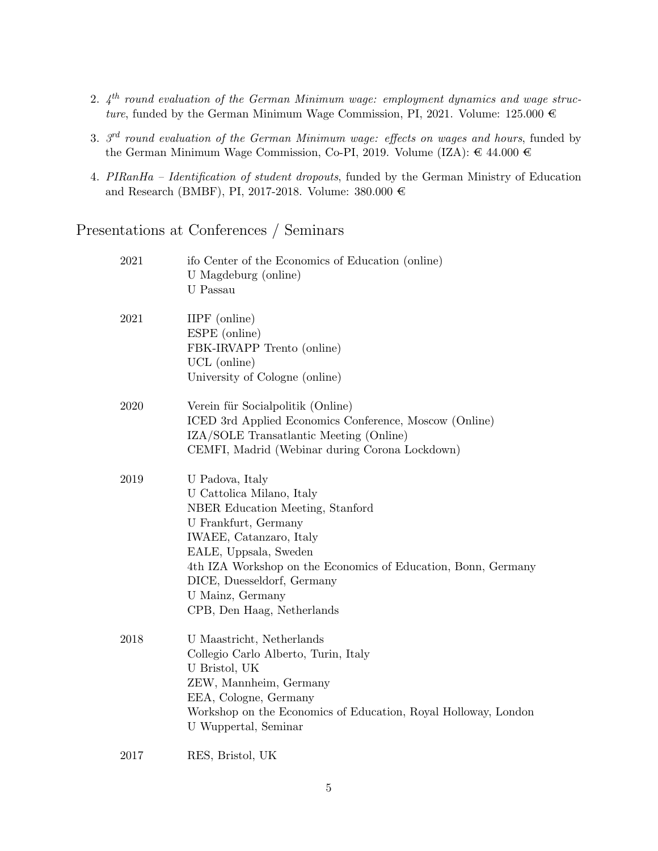- 2.  $4^{th}$  round evaluation of the German Minimum wage: employment dynamics and wage structure, funded by the German Minimum Wage Commission, PI, 2021. Volume: 125.000  $\in$
- 3.  $3^{\text{rd}}$  round evaluation of the German Minimum wage: effects on wages and hours, funded by the German Minimum Wage Commission, Co-PI, 2019. Volume (IZA):  $\in$  44.000  $\in$
- 4. PIRanHa Identification of student dropouts, funded by the German Ministry of Education and Research (BMBF), PI, 2017-2018. Volume: 380.000  $\in$

Presentations at Conferences / Seminars

| 2021 | ifo Center of the Economics of Education (online)<br>U Magdeburg (online)<br>U Passau                                                                                                                                                                                                                         |
|------|---------------------------------------------------------------------------------------------------------------------------------------------------------------------------------------------------------------------------------------------------------------------------------------------------------------|
| 2021 | IIPF (online)<br>ESPE (online)<br>FBK-IRVAPP Trento (online)<br>UCL (online)<br>University of Cologne (online)                                                                                                                                                                                                |
| 2020 | Verein für Socialpolitik (Online)<br>ICED 3rd Applied Economics Conference, Moscow (Online)<br>IZA/SOLE Transatlantic Meeting (Online)<br>CEMFI, Madrid (Webinar during Corona Lockdown)                                                                                                                      |
| 2019 | U Padova, Italy<br>U Cattolica Milano, Italy<br>NBER Education Meeting, Stanford<br>U Frankfurt, Germany<br>IWAEE, Catanzaro, Italy<br>EALE, Uppsala, Sweden<br>4th IZA Workshop on the Economics of Education, Bonn, Germany<br>DICE, Duesseldorf, Germany<br>U Mainz, Germany<br>CPB, Den Haag, Netherlands |
| 2018 | U Maastricht, Netherlands<br>Collegio Carlo Alberto, Turin, Italy<br>U Bristol, UK<br>ZEW, Mannheim, Germany<br>EEA, Cologne, Germany<br>Workshop on the Economics of Education, Royal Holloway, London<br>U Wuppertal, Seminar                                                                               |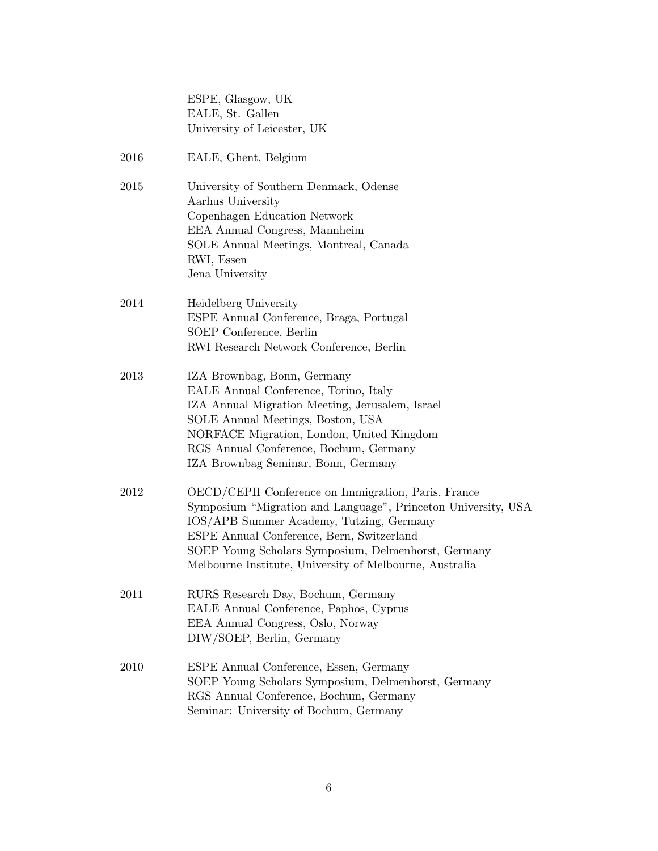|      | ESPE, Glasgow, UK<br>EALE, St. Gallen<br>University of Leicester, UK                                                                                                                                                                                                                                                            |
|------|---------------------------------------------------------------------------------------------------------------------------------------------------------------------------------------------------------------------------------------------------------------------------------------------------------------------------------|
| 2016 | EALE, Ghent, Belgium                                                                                                                                                                                                                                                                                                            |
| 2015 | University of Southern Denmark, Odense<br>Aarhus University<br>Copenhagen Education Network<br>EEA Annual Congress, Mannheim<br>SOLE Annual Meetings, Montreal, Canada<br>RWI, Essen<br>Jena University                                                                                                                         |
| 2014 | Heidelberg University<br>ESPE Annual Conference, Braga, Portugal<br>SOEP Conference, Berlin<br>RWI Research Network Conference, Berlin                                                                                                                                                                                          |
| 2013 | IZA Brownbag, Bonn, Germany<br>EALE Annual Conference, Torino, Italy<br>IZA Annual Migration Meeting, Jerusalem, Israel<br>SOLE Annual Meetings, Boston, USA<br>NORFACE Migration, London, United Kingdom<br>RGS Annual Conference, Bochum, Germany<br>IZA Brownbag Seminar, Bonn, Germany                                      |
| 2012 | OECD/CEPII Conference on Immigration, Paris, France<br>Symposium "Migration and Language", Princeton University, USA<br>IOS/APB Summer Academy, Tutzing, Germany<br>ESPE Annual Conference, Bern, Switzerland<br>SOEP Young Scholars Symposium, Delmenhorst, Germany<br>Melbourne Institute, University of Melbourne, Australia |
| 2011 | RURS Research Day, Bochum, Germany<br>EALE Annual Conference, Paphos, Cyprus<br>EEA Annual Congress, Oslo, Norway<br>DIW/SOEP, Berlin, Germany                                                                                                                                                                                  |
| 2010 | ESPE Annual Conference, Essen, Germany<br>SOEP Young Scholars Symposium, Delmenhorst, Germany<br>RGS Annual Conference, Bochum, Germany<br>Seminar: University of Bochum, Germany                                                                                                                                               |